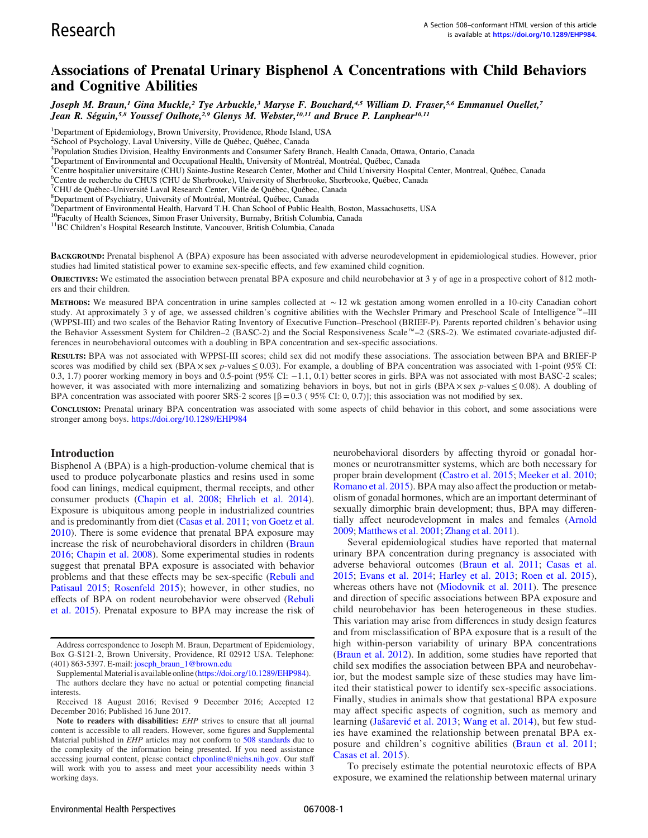# Associations of Prenatal Urinary Bisphenol A Concentrations with Child Behaviors and Cognitive Abilities

Joseph M. Braun,<sup>1</sup> Gina Muckle,<sup>2</sup> Tye Arbuckle,<sup>3</sup> Maryse F. Bouchard,<sup>4,5</sup> William D. Fraser,<sup>5,6</sup> Emmanuel Ouellet,<sup>7</sup> Jean R. Séguin,<sup>5,8</sup> Youssef Oulhote,<sup>2,9</sup> Glenys M. Webster,<sup>10,11</sup> and Bruce P. Lanphear<sup>10,11</sup>

<sup>1</sup>Department of Epidemiology, Brown University, Providence, Rhode Island, USA

2 School of Psychology, Laval University, Ville de Québec, Québec, Canada

- 4 Department of Environmental and Occupational Health, University of Montréal, Montréal, Québec, Canada
- <sup>5</sup>Centre hospitalier universitaire (CHU) Sainte-Justine Research Center, Mother and Child University Hospital Center, Montreal, Québec, Canada
- 6 Centre de recherche du CHUS (CHU de Sherbrooke), University of Sherbrooke, Sherbrooke, Québec, Canada

7 CHU de Québec-Université Laval Research Center, Ville de Québec, Québec, Canada

8 Department of Psychiatry, University of Montréal, Montréal, Québec, Canada

9 Department of Environmental Health, Harvard T.H. Chan School of Public Health, Boston, Massachusetts, USA

 $^{10}$ Faculty of Health Sciences, Simon Fraser University, Burnaby, British Columbia, Canada  $^{11}$ BC Children's Hospital Research Institute, Vancouver, British Columbia, Canada

BACKGROUND: Prenatal bisphenol A (BPA) exposure has been associated with adverse neurodevelopment in epidemiological studies. However, prior studies had limited statistical power to examine sex-specific effects, and few examined child cognition.

OBJECTIVES: We estimated the association between prenatal BPA exposure and child neurobehavior at 3 y of age in a prospective cohort of 812 mothers and their children.

METHODS: We measured BPA concentration in urine samples collected at ∼12 wk gestation among women enrolled in a 10-city Canadian cohort study. At approximately 3 y of age, we assessed children's cognitive abilities with the Wechsler Primary and Preschool Scale of Intelligence™–III (WPPSI-III) and two scales of the Behavior Rating Inventory of Executive Function–Preschool (BRIEF-P). Parents reported children's behavior using the Behavior Assessment System for Children–2 (BASC-2) and the Social Responsiveness Scale™–2 (SRS-2). We estimated covariate-adjusted differences in neurobehavioral outcomes with a doubling in BPA concentration and sex-specific associations.

RESULTS: BPA was not associated with WPPSI-III scores; child sex did not modify these associations. The association between BPA and BRIEF-P scores was modified by child sex (BPA  $\times$  sex p-values  $\leq$  0.03). For example, a doubling of BPA concentration was associated with 1-point (95% CI: 0.3, 1.7) poorer working memory in boys and 0.5-point (95% CI: −1.1, 0.1) better scores in girls. BPA was not associated with most BASC-2 scales; however, it was associated with more internalizing and somatizing behaviors in boys, but not in girls (BPA × sex p-values  $\leq$  0.08). A doubling of BPA concentration was associated with poorer SRS-2 scores  $[\beta = 0.3$  (95% CI: 0, 0.7)]; this association was not modified by sex.

CONCLUSION: Prenatal urinary BPA concentration was associated with some aspects of child behavior in this cohort, and some associations were stronger among boys. <https://doi.org/10.1289/EHP984>

# Introduction

Bisphenol A (BPA) is a high-production-volume chemical that is used to produce polycarbonate plastics and resins used in some food can linings, medical equipment, thermal receipts, and other consumer products [\(Chapin et al. 2008;](#page-7-0) [Ehrlich et al. 2014](#page-7-1)). Exposure is ubiquitous among people in industrialized countries and is predominantly from diet ([Casas et al. 2011](#page-7-2); [von Goetz et al.](#page-8-0) [2010](#page-8-0)). There is some evidence that prenatal BPA exposure may increase the risk of neurobehavioral disorders in children ([Braun](#page-7-3) [2016](#page-7-3); [Chapin et al. 2008](#page-7-0)). Some experimental studies in rodents suggest that prenatal BPA exposure is associated with behavior problems and that these effects may be sex-specific ([Rebuli and](#page-8-1) [Patisaul 2015](#page-8-1); [Rosenfeld 2015\)](#page-8-2); however, in other studies, no effects of BPA on rodent neurobehavior were observed ([Rebuli](#page-8-3) [et al. 2015\)](#page-8-3). Prenatal exposure to BPA may increase the risk of

Supplemental Material is available online (<https://doi.org/10.1289/EHP984>).

neurobehavioral disorders by affecting thyroid or gonadal hormones or neurotransmitter systems, which are both necessary for proper brain development [\(Castro et al. 2015](#page-7-4); [Meeker et al. 2010](#page-8-4); [Romano et al. 2015](#page-8-5)). BPA may also affect the production or metabolism of gonadal hormones, which are an important determinant of sexually dimorphic brain development; thus, BPA may differentially affect neurodevelopment in males and females [\(Arnold](#page-7-5) [2009](#page-7-5); [Matthews et al. 2001](#page-8-6); [Zhang et al. 2011](#page-8-7)).

Several epidemiological studies have reported that maternal urinary BPA concentration during pregnancy is associated with adverse behavioral outcomes [\(Braun et al. 2011](#page-7-6); [Casas et al.](#page-7-7) [2015](#page-7-7); [Evans et al. 2014](#page-7-8); [Harley et al. 2013;](#page-8-8) [Roen et al. 2015](#page-8-9)), whereas others have not [\(Miodovnik et al. 2011\)](#page-8-10). The presence and direction of specific associations between BPA exposure and child neurobehavior has been heterogeneous in these studies. This variation may arise from differences in study design features and from misclassification of BPA exposure that is a result of the high within-person variability of urinary BPA concentrations [\(Braun et al. 2012\)](#page-7-9). In addition, some studies have reported that child sex modifies the association between BPA and neurobehavior, but the modest sample size of these studies may have limited their statistical power to identify sex-specific associations. Finally, studies in animals show that gestational BPA exposure may affect specific aspects of cognition, such as memory and learning (Jašarević [et al. 2013](#page-8-11); [Wang et al. 2014](#page-8-12)), but few studies have examined the relationship between prenatal BPA exposure and children's cognitive abilities ([Braun et al. 2011](#page-7-6); [Casas et al. 2015](#page-7-7)).

To precisely estimate the potential neurotoxic effects of BPA exposure, we examined the relationship between maternal urinary

<sup>3</sup> Population Studies Division, Healthy Environments and Consumer Safety Branch, Health Canada, Ottawa, Ontario, Canada

Address correspondence to Joseph M. Braun, Department of Epidemiology, Box G-S121-2, Brown University, Providence, RI 02912 USA. Telephone: (401) 863-5397. E-mail: [joseph\\_braun\\_1@brown.edu](mailto:joseph_braun_1@brown.edu)

The authors declare they have no actual or potential competing financial interests.

Received 18 August 2016; Revised 9 December 2016; Accepted 12 December 2016; Published 16 June 2017.

Note to readers with disabilities: EHP strives to ensure that all journal content is accessible to all readers. However, some figures and Supplemental Material published in EHP articles may not conform to [508 standards](http://ehp.niehs.nih.gov/accessibility/) due to the complexity of the information being presented. If you need assistance accessing journal content, please contact [ehponline@niehs.nih.gov.](mailto:ehponline@niehs.nih.gov) Our staff will work with you to assess and meet your accessibility needs within 3 working days.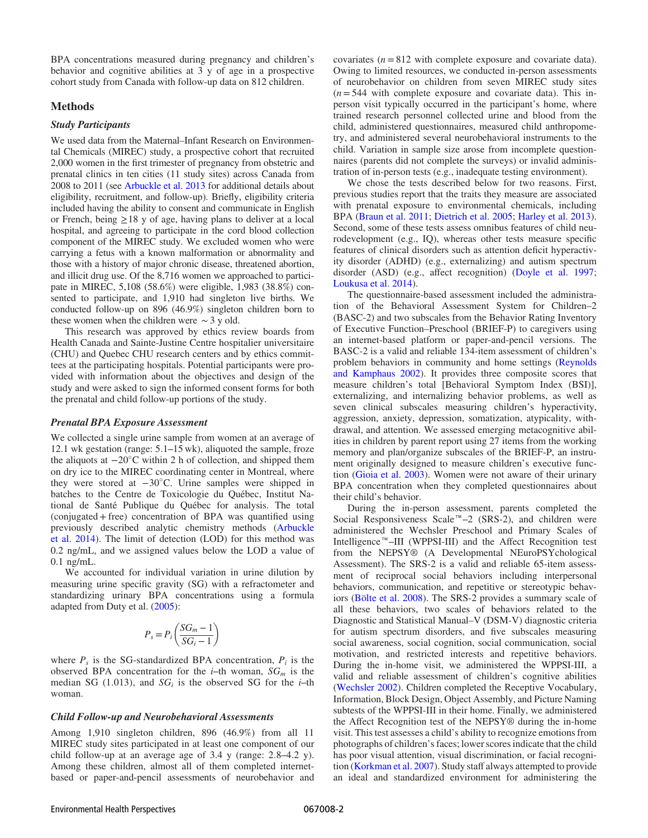BPA concentrations measured during pregnancy and children's behavior and cognitive abilities at 3 y of age in a prospective cohort study from Canada with follow-up data on 812 children.

## Methods

### Study Participants

We used data from the Maternal–Infant Research on Environmental Chemicals (MIREC) study, a prospective cohort that recruited 2,000 women in the first trimester of pregnancy from obstetric and prenatal clinics in ten cities (11 study sites) across Canada from 2008 to 2011 (see [Arbuckle et al. 2013](#page-7-10) for additional details about eligibility, recruitment, and follow-up). Briefly, eligibility criteria included having the ability to consent and communicate in English or French, being  $\geq$  18 y of age, having plans to deliver at a local hospital, and agreeing to participate in the cord blood collection component of the MIREC study. We excluded women who were carrying a fetus with a known malformation or abnormality and those with a history of major chronic disease, threatened abortion, and illicit drug use. Of the 8,716 women we approached to participate in MIREC, 5,108 (58.6%) were eligible, 1,983 (38.8%) consented to participate, and 1,910 had singleton live births. We conducted follow-up on 896 (46.9%) singleton children born to these women when the children were  $\sim$  3 y old.

This research was approved by ethics review boards from Health Canada and Sainte-Justine Centre hospitalier universitaire (CHU) and Quebec CHU research centers and by ethics committees at the participating hospitals. Potential participants were provided with information about the objectives and design of the study and were asked to sign the informed consent forms for both the prenatal and child follow-up portions of the study.

#### Prenatal BPA Exposure Assessment

We collected a single urine sample from women at an average of 12.1 wk gestation (range: 5:1–15 wk), aliquoted the sample, froze the aliquots at −20 C within 2 h of collection, and shipped them on dry ice to the MIREC coordinating center in Montreal, where they were stored at −30 C. Urine samples were shipped in batches to the Centre de Toxicologie du Québec, Institut National de Santé Publique du Québec for analysis. The total (conjugated + free) concentration of BPA was quantified using previously described analytic chemistry methods ([Arbuckle](#page-7-11) [et al. 2014](#page-7-11)). The limit of detection (LOD) for this method was 0.2 ng/mL, and we assigned values below the LOD a value of 0.1 ng/mL.

We accounted for individual variation in urine dilution by measuring urine specific gravity (SG) with a refractometer and standardizing urinary BPA concentrations using a formula adapted from Duty et al. ([2005\)](#page-7-12):

$$
P_s = P_i \left( \frac{SG_m - 1}{SG_i - 1} \right)
$$

where  $P_s$  is the SG-standardized BPA concentration,  $P_i$  is the observed BPA concentration for the *i*-th woman,  $SG_m$  is the median SG (1.013), and  $SG<sub>i</sub>$  is the observed SG for the *i*-th woman.

#### Child Follow-up and Neurobehavioral Assessments

Among 1,910 singleton children, 896 (46.9%) from all 11 MIREC study sites participated in at least one component of our child follow-up at an average age of 3.4 y (range: 2:8–4:2 y). Among these children, almost all of them completed internetbased or paper-and-pencil assessments of neurobehavior and covariates  $(n = 812$  with complete exposure and covariate data). Owing to limited resources, we conducted in-person assessments of neurobehavior on children from seven MIREC study sites  $(n= 544)$  with complete exposure and covariate data). This inperson visit typically occurred in the participant's home, where trained research personnel collected urine and blood from the child, administered questionnaires, measured child anthropometry, and administered several neurobehavioral instruments to the child. Variation in sample size arose from incomplete questionnaires (parents did not complete the surveys) or invalid administration of in-person tests (e.g., inadequate testing environment).

We chose the tests described below for two reasons. First, previous studies report that the traits they measure are associated with prenatal exposure to environmental chemicals, including BPA [\(Braun et al. 2011](#page-7-6); [Dietrich et al. 2005](#page-7-13); [Harley et al. 2013](#page-8-8)). Second, some of these tests assess omnibus features of child neurodevelopment (e.g., IQ), whereas other tests measure specific features of clinical disorders such as attention deficit hyperactivity disorder (ADHD) (e.g., externalizing) and autism spectrum disorder (ASD) (e.g., affect recognition) [\(Doyle et al. 1997](#page-7-14); [Loukusa et al. 2014\)](#page-8-13).

The questionnaire-based assessment included the administration of the Behavioral Assessment System for Children–2 (BASC-2) and two subscales from the Behavior Rating Inventory of Executive Function–Preschool (BRIEF-P) to caregivers using an internet-based platform or paper-and-pencil versions. The BASC-2 is a valid and reliable 134-item assessment of children's problem behaviors in community and home settings [\(Reynolds](#page-8-14) [and Kamphaus 2002](#page-8-14)). It provides three composite scores that measure children's total [Behavioral Symptom Index (BSI)], externalizing, and internalizing behavior problems, as well as seven clinical subscales measuring children's hyperactivity, aggression, anxiety, depression, somatization, atypicality, withdrawal, and attention. We assessed emerging metacognitive abilities in children by parent report using 27 items from the working memory and plan/organize subscales of the BRIEF-P, an instrument originally designed to measure children's executive function ([Gioia et al. 2003](#page-8-15)). Women were not aware of their urinary BPA concentration when they completed questionnaires about their child's behavior.

During the in-person assessment, parents completed the Social Responsiveness Scale<sup>™</sup> $-2$  (SRS-2), and children were administered the Wechsler Preschool and Primary Scales of Intelligence<sup>™</sup>–III (WPPSI-III) and the Affect Recognition test from the NEPSY® (A Developmental NEuroPSYchological Assessment). The SRS-2 is a valid and reliable 65-item assessment of reciprocal social behaviors including interpersonal behaviors, communication, and repetitive or stereotypic behaviors [\(Bölte et al. 2008\)](#page-7-15). The SRS-2 provides a summary scale of all these behaviors, two scales of behaviors related to the Diagnostic and Statistical Manual–V (DSM-V) diagnostic criteria for autism spectrum disorders, and five subscales measuring social awareness, social cognition, social communication, social motivation, and restricted interests and repetitive behaviors. During the in-home visit, we administered the WPPSI-III, a valid and reliable assessment of children's cognitive abilities [\(Wechsler 2002\)](#page-8-16). Children completed the Receptive Vocabulary, Information, Block Design, Object Assembly, and Picture Naming subtests of the WPPSI-III in their home. Finally, we administered the Affect Recognition test of the NEPSY® during the in-home visit. This test assesses a child's ability to recognize emotions from photographs of children's faces; lower scores indicate that the child has poor visual attention, visual discrimination, or facial recognition ([Korkman et al. 2007](#page-8-17)). Study staff always attempted to provide an ideal and standardized environment for administering the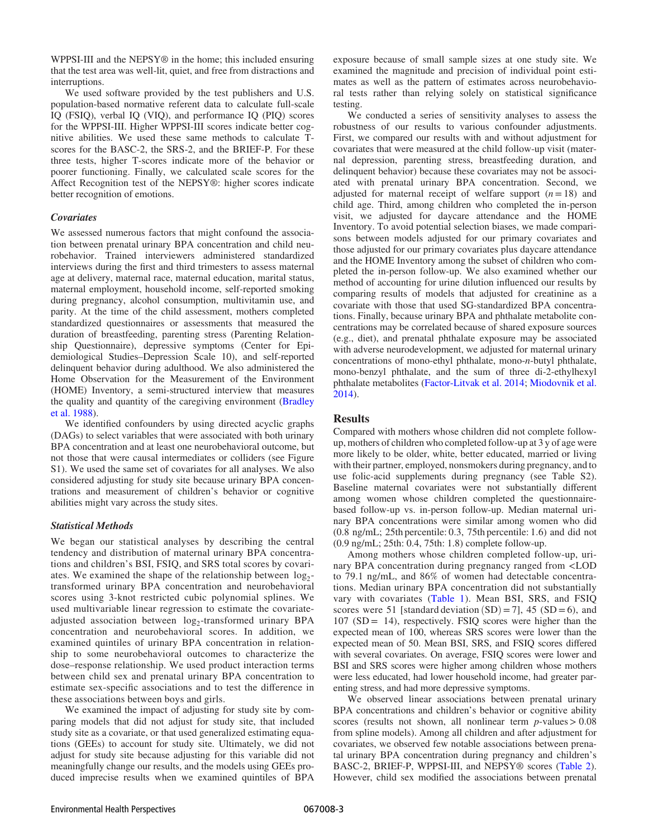WPPSI-III and the NEPSY® in the home; this included ensuring that the test area was well-lit, quiet, and free from distractions and interruptions.

We used software provided by the test publishers and U.S. population-based normative referent data to calculate full-scale IQ (FSIQ), verbal IQ (VIQ), and performance IQ (PIQ) scores for the WPPSI-III. Higher WPPSI-III scores indicate better cognitive abilities. We used these same methods to calculate Tscores for the BASC-2, the SRS-2, and the BRIEF-P. For these three tests, higher T-scores indicate more of the behavior or poorer functioning. Finally, we calculated scale scores for the Affect Recognition test of the NEPSY®: higher scores indicate better recognition of emotions.

### **Covariates**

We assessed numerous factors that might confound the association between prenatal urinary BPA concentration and child neurobehavior. Trained interviewers administered standardized interviews during the first and third trimesters to assess maternal age at delivery, maternal race, maternal education, marital status, maternal employment, household income, self-reported smoking during pregnancy, alcohol consumption, multivitamin use, and parity. At the time of the child assessment, mothers completed standardized questionnaires or assessments that measured the duration of breastfeeding, parenting stress (Parenting Relationship Questionnaire), depressive symptoms (Center for Epidemiological Studies–Depression Scale 10), and self-reported delinquent behavior during adulthood. We also administered the Home Observation for the Measurement of the Environment (HOME) Inventory, a semi-structured interview that measures the quality and quantity of the caregiving environment [\(Bradley](#page-7-16) [et al. 1988\)](#page-7-16).

We identified confounders by using directed acyclic graphs (DAGs) to select variables that were associated with both urinary BPA concentration and at least one neurobehavioral outcome, but not those that were causal intermediates or colliders (see Figure S1). We used the same set of covariates for all analyses. We also considered adjusting for study site because urinary BPA concentrations and measurement of children's behavior or cognitive abilities might vary across the study sites.

#### Statistical Methods

We began our statistical analyses by describing the central tendency and distribution of maternal urinary BPA concentrations and children's BSI, FSIQ, and SRS total scores by covariates. We examined the shape of the relationship between  $log<sub>2</sub>$ transformed urinary BPA concentration and neurobehavioral scores using 3-knot restricted cubic polynomial splines. We used multivariable linear regression to estimate the covariateadjusted association between  $log_2$ -transformed urinary BPA concentration and neurobehavioral scores. In addition, we examined quintiles of urinary BPA concentration in relationship to some neurobehavioral outcomes to characterize the dose–response relationship. We used product interaction terms between child sex and prenatal urinary BPA concentration to estimate sex-specific associations and to test the difference in these associations between boys and girls.

We examined the impact of adjusting for study site by comparing models that did not adjust for study site, that included study site as a covariate, or that used generalized estimating equations (GEEs) to account for study site. Ultimately, we did not adjust for study site because adjusting for this variable did not meaningfully change our results, and the models using GEEs produced imprecise results when we examined quintiles of BPA exposure because of small sample sizes at one study site. We examined the magnitude and precision of individual point estimates as well as the pattern of estimates across neurobehavioral tests rather than relying solely on statistical significance testing.

We conducted a series of sensitivity analyses to assess the robustness of our results to various confounder adjustments. First, we compared our results with and without adjustment for covariates that were measured at the child follow-up visit (maternal depression, parenting stress, breastfeeding duration, and delinquent behavior) because these covariates may not be associated with prenatal urinary BPA concentration. Second, we adjusted for maternal receipt of welfare support  $(n=18)$  and child age. Third, among children who completed the in-person visit, we adjusted for daycare attendance and the HOME Inventory. To avoid potential selection biases, we made comparisons between models adjusted for our primary covariates and those adjusted for our primary covariates plus daycare attendance and the HOME Inventory among the subset of children who completed the in-person follow-up. We also examined whether our method of accounting for urine dilution influenced our results by comparing results of models that adjusted for creatinine as a covariate with those that used SG-standardized BPA concentrations. Finally, because urinary BPA and phthalate metabolite concentrations may be correlated because of shared exposure sources (e.g., diet), and prenatal phthalate exposure may be associated with adverse neurodevelopment, we adjusted for maternal urinary concentrations of mono-ethyl phthalate, mono-n-butyl phthalate, mono-benzyl phthalate, and the sum of three di-2-ethylhexyl phthalate metabolites [\(Factor-Litvak et al. 2014;](#page-8-18) [Miodovnik et al.](#page-8-19) [2014](#page-8-19)).

# Results

Compared with mothers whose children did not complete followup, mothers of children who completed follow-up at 3 y of age were more likely to be older, white, better educated, married or living with their partner, employed, nonsmokers during pregnancy, and to use folic-acid supplements during pregnancy (see Table S2). Baseline maternal covariates were not substantially different among women whose children completed the questionnairebased follow-up vs. in-person follow-up. Median maternal urinary BPA concentrations were similar among women who did (0.8 ng/mL; 25th percentile: 0:3, 75th percentile: 1:6) and did not (0.9 ng/mL; 25th: 0.4, 75th: 1.8) complete follow-up.

Among mothers whose children completed follow-up, urinary BPA concentration during pregnancy ranged from <LOD to 79.1 ng/mL, and 86% of women had detectable concentrations. Median urinary BPA concentration did not substantially vary with covariates [\(Table 1](#page-3-0)). Mean BSI, SRS, and FSIQ scores were 51 [standard deviation  $(SD) = 7$ ], 45  $(SD = 6)$ , and  $107$  (SD = 14), respectively. FSIQ scores were higher than the expected mean of 100, whereas SRS scores were lower than the expected mean of 50. Mean BSI, SRS, and FSIQ scores differed with several covariates. On average, FSIQ scores were lower and BSI and SRS scores were higher among children whose mothers were less educated, had lower household income, had greater parenting stress, and had more depressive symptoms.

We observed linear associations between prenatal urinary BPA concentrations and children's behavior or cognitive ability scores (results not shown, all nonlinear term  $p$ -values > 0.08 from spline models). Among all children and after adjustment for covariates, we observed few notable associations between prenatal urinary BPA concentration during pregnancy and children's BASC-2, BRIEF-P, WPPSI-III, and NEPSY® scores ([Table 2](#page-4-0)). However, child sex modified the associations between prenatal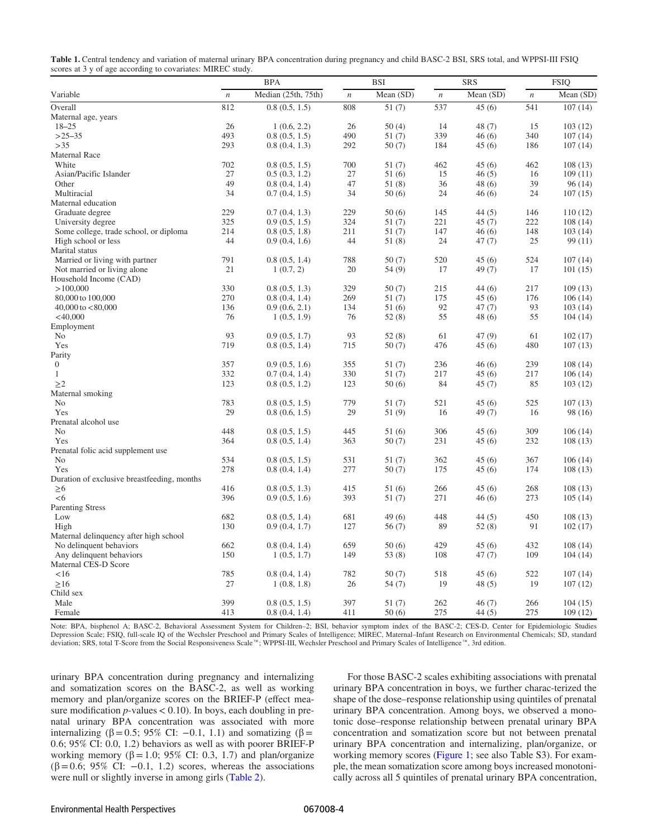<span id="page-3-0"></span>

|                                                            | Table 1. Central tendency and variation of maternal urinary BPA concentration during pregnancy and child BASC-2 BSI, SRS total, and WPPSI-III FSIQ |
|------------------------------------------------------------|----------------------------------------------------------------------------------------------------------------------------------------------------|
| scores at 3 y of age according to covariates: MIREC study. |                                                                                                                                                    |

|                                             | <b>BPA</b> |                     | <b>BSI</b> |           | <b>SRS</b> |           |                  | <b>FSIQ</b> |  |
|---------------------------------------------|------------|---------------------|------------|-----------|------------|-----------|------------------|-------------|--|
| Variable                                    | $\it n$    | Median (25th, 75th) | $\sqrt{n}$ | Mean (SD) | $\sqrt{n}$ | Mean (SD) | $\boldsymbol{n}$ | Mean (SD)   |  |
| Overall                                     | 812        | 0.8(0.5, 1.5)       | 808        | 51(7)     | 537        | 45(6)     | 541              | 107(14)     |  |
| Maternal age, years                         |            |                     |            |           |            |           |                  |             |  |
| $18 - 25$                                   | 26         | 1(0.6, 2.2)         | 26         | 50(4)     | 14         | 48 (7)    | 15               | 103(12)     |  |
| $>25 - 35$                                  | 493        | 0.8(0.5, 1.5)       | 490        | 51(7)     | 339        | 46(6)     | 340              | 107(14)     |  |
| $>35$                                       | 293        | 0.8(0.4, 1.3)       | 292        | 50(7)     | 184        | 45(6)     | 186              | 107(14)     |  |
| <b>Maternal Race</b>                        |            |                     |            |           |            |           |                  |             |  |
| White                                       | 702        | 0.8(0.5, 1.5)       | 700        | 51(7)     | 462        | 45(6)     | 462              | 108(13)     |  |
| Asian/Pacific Islander                      | 27         | 0.5(0.3, 1.2)       | 27         | 51(6)     | 15         | 46(5)     | 16               | 109(11)     |  |
| Other                                       | 49         | 0.8(0.4, 1.4)       | 47         | 51(8)     | 36         | 48(6)     | 39               | 96(14)      |  |
| Multiracial                                 | 34         | 0.7(0.4, 1.5)       | 34         | 50(6)     | 24         | 46(6)     | 24               | 107(15)     |  |
| Maternal education                          |            |                     |            |           |            |           |                  |             |  |
| Graduate degree                             | 229        | 0.7(0.4, 1.3)       | 229        | 50(6)     | 145        | 44(5)     | 146              | 110(12)     |  |
| University degree                           | 325        | 0.9(0.5, 1.5)       | 324        | 51(7)     | 221        | 45(7)     | 222              | 108(14)     |  |
| Some college, trade school, or diploma      | 214        | 0.8(0.5, 1.8)       | 211        | 51(7)     | 147        | 46(6)     | 148              | 103(14)     |  |
| High school or less                         | 44         | 0.9(0.4, 1.6)       | 44         | 51(8)     | 24         | 47(7)     | 25               | 99(11)      |  |
| Marital status                              |            |                     |            |           |            |           |                  |             |  |
| Married or living with partner              | 791        | 0.8(0.5, 1.4)       | 788        | 50(7)     | 520        | 45(6)     | 524              | 107(14)     |  |
| Not married or living alone                 | 21         | 1(0.7, 2)           | 20         | 54 (9)    | 17         | 49 (7)    | 17               | 101(15)     |  |
| Household Income (CAD)                      |            |                     |            |           |            |           |                  |             |  |
| >100,000                                    | 330        | 0.8(0.5, 1.3)       | 329        | 50(7)     | 215        | 44(6)     | 217              | 109(13)     |  |
| 80,000 to 100,000                           | 270        | 0.8(0.4, 1.4)       | 269        | 51(7)     | 175        | 45(6)     | 176              | 106(14)     |  |
| 40,000 to $< 80,000$                        | 136        | 0.9(0.6, 2.1)       | 134        | 51(6)     | 92         | 47(7)     | 93               | 103(14)     |  |
| $<$ 40,000                                  | 76         | 1(0.5, 1.9)         | 76         | 52(8)     | 55         | 48(6)     | 55               | 104(14)     |  |
| Employment                                  |            |                     |            |           |            |           |                  |             |  |
| N <sub>0</sub>                              | 93         | 0.9(0.5, 1.7)       | 93         | 52(8)     | 61         | 47(9)     | 61               | 102(17)     |  |
| Yes                                         | 719        | 0.8(0.5, 1.4)       | 715        | 50(7)     | 476        | 45(6)     | 480              | 107(13)     |  |
| Parity                                      |            |                     |            |           |            |           |                  |             |  |
| $\mathbf{0}$                                | 357        | 0.9(0.5, 1.6)       | 355        | 51(7)     | 236        | 46(6)     | 239              | 108(14)     |  |
| 1                                           | 332        | 0.7(0.4, 1.4)       | 330        | 51(7)     | 217        | 45(6)     | 217              | 106(14)     |  |
| $\geq$ 2                                    | 123        | 0.8(0.5, 1.2)       | 123        | 50(6)     | 84         | 45(7)     | 85               | 103(12)     |  |
| Maternal smoking                            |            |                     |            |           |            |           |                  |             |  |
| No                                          | 783        | 0.8(0.5, 1.5)       | 779        | 51(7)     | 521        | 45(6)     | 525              | 107(13)     |  |
| Yes                                         | 29         | 0.8(0.6, 1.5)       | 29         | 51(9)     | 16         | 49(7)     | 16               | 98 (16)     |  |
| Prenatal alcohol use                        |            |                     |            |           |            |           |                  |             |  |
| No                                          | 448        | 0.8(0.5, 1.5)       | 445        | 51 (6)    | 306        | 45(6)     | 309              | 106(14)     |  |
| Yes                                         | 364        | 0.8(0.5, 1.4)       | 363        | 50(7)     | 231        | 45(6)     | 232              | 108(13)     |  |
| Prenatal folic acid supplement use          |            |                     |            |           |            |           |                  |             |  |
| N <sub>0</sub>                              | 534        | 0.8(0.5, 1.5)       | 531        | 51(7)     | 362        | 45(6)     | 367              | 106(14)     |  |
| Yes                                         | 278        | 0.8(0.4, 1.4)       | 277        | 50(7)     | 175        | 45(6)     | 174              | 108(13)     |  |
| Duration of exclusive breastfeeding, months |            |                     |            |           |            |           |                  |             |  |
| $\geq 6$                                    | 416        | 0.8(0.5, 1.3)       | 415        | 51 (6)    | 266        | 45(6)     | 268              | 108(13)     |  |
| <6                                          | 396        | 0.9(0.5, 1.6)       | 393        | 51(7)     | 271        | 46(6)     | 273              | 105(14)     |  |
| <b>Parenting Stress</b>                     |            |                     |            |           |            |           |                  |             |  |
| Low                                         | 682        | 0.8(0.5, 1.4)       | 681        | 49(6)     | 448        | 44(5)     | 450              | 108(13)     |  |
| High                                        | 130        | 0.9(0.4, 1.7)       | 127        | 56(7)     | 89         | 52(8)     | 91               | 102(17)     |  |
| Maternal delinquency after high school      |            |                     |            |           |            |           |                  |             |  |
| No delinquent behaviors                     | 662        | 0.8(0.4, 1.4)       | 659        | 50(6)     | 429        | 45(6)     | 432              | 108(14)     |  |
| Any delinquent behaviors                    | 150        | 1(0.5, 1.7)         | 149        | 53(8)     | 108        | 47(7)     | 109              | 104(14)     |  |
| Maternal CES-D Score                        |            |                     |            |           |            |           |                  |             |  |
| $<$ 16                                      | 785        | 0.8(0.4, 1.4)       | 782        | 50(7)     | 518        | 45(6)     | 522              | 107(14)     |  |
| $\geq$ 16                                   | 27         | 1(0.8, 1.8)         | 26         | 54(7)     | 19         | 48(5)     | 19               | 107(12)     |  |
| Child sex                                   |            |                     |            |           |            |           |                  |             |  |
| Male                                        | 399        | 0.8(0.5, 1.5)       | 397        | 51(7)     | 262        | 46(7)     | 266              | 104(15)     |  |
| Female                                      | 413        | 0.8(0.4, 1.4)       | 411        | 50(6)     | 275        | 44(5)     | 275              | 109(12)     |  |
|                                             |            |                     |            |           |            |           |                  |             |  |

Note: BPA, bisphenol A; BASC-2, Behavioral Assessment System for Children–2; BSI, behavior symptom index of the BASC-2; CES-D, Center for Epidemiologic Studies Depression Scale; FSIQ, full-scale IQ of the Wechsler Preschool and Primary Scales of Intelligence; MIREC, Maternal–Infant Research on Environmental Chemicals; SD, standard deviation; SRS, total T-Score from the Social Responsiveness Scale<sup>™</sup>; WPPSI-III, Wechsler Preschool and Primary Scales of Intelligence<sup>™</sup>, 3rd edition.

urinary BPA concentration during pregnancy and internalizing and somatization scores on the BASC-2, as well as working memory and plan/organize scores on the BRIEF-P (effect measure modification  $p$ -values < 0.10). In boys, each doubling in prenatal urinary BPA concentration was associated with more internalizing (β = 0.5; 95% CI: −0.1, 1.1) and somatizing (β = 0:6; 95% CI: 0.0, 1.2) behaviors as well as with poorer BRIEF-P working memory ( $\beta$  = 1.0; 95% CI: 0.3, 1.7) and plan/organize ( $\beta$ = 0.6; 95% CI: −0.1, 1.2) scores, whereas the associations were null or slightly inverse in among girls ([Table 2](#page-4-0)).

For those BASC-2 scales exhibiting associations with prenatal urinary BPA concentration in boys, we further charac-terized the shape of the dose–response relationship using quintiles of prenatal urinary BPA concentration. Among boys, we observed a monotonic dose–response relationship between prenatal urinary BPA concentration and somatization score but not between prenatal urinary BPA concentration and internalizing, plan/organize, or working memory scores ([Figure 1;](#page-5-0) see also Table S3). For example, the mean somatization score among boys increased monotonically across all 5 quintiles of prenatal urinary BPA concentration,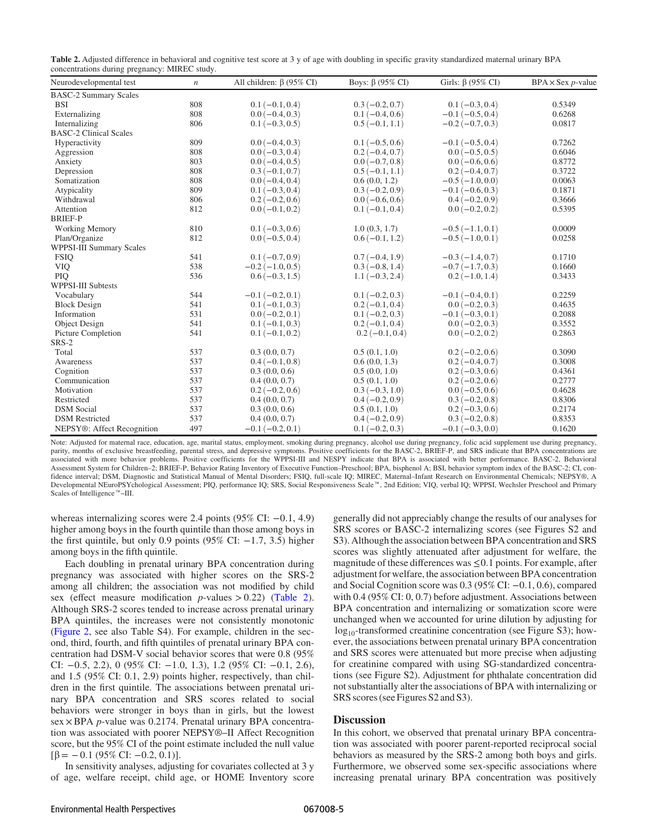<span id="page-4-0"></span>

| Table 2. Adjusted difference in behavioral and cognitive test score at 3 y of age with doubling in specific gravity standardized maternal urinary BPA |  |
|-------------------------------------------------------------------------------------------------------------------------------------------------------|--|
| concentrations during pregnancy: MIREC study.                                                                                                         |  |

| Neurodevelopmental test         | $\boldsymbol{n}$ | All children: $\beta$ (95% CI) | Boys: $\beta$ (95% CI) | Girls: $\beta$ (95% CI) | $BPA \times$ Sex <i>p</i> -value |
|---------------------------------|------------------|--------------------------------|------------------------|-------------------------|----------------------------------|
| <b>BASC-2 Summary Scales</b>    |                  |                                |                        |                         |                                  |
| <b>BSI</b>                      | 808              | $0.1 (-0.1, 0.4)$              | $0.3(-0.2, 0.7)$       | $0.1 (-0.3, 0.4)$       | 0.5349                           |
| Externalizing                   | 808              | $0.0 (-0.4, 0.3)$              | $0.1 (-0.4, 0.6)$      | $-0.1(-0.5, 0.4)$       | 0.6268                           |
| Internalizing                   | 806              | $0.1 (-0.3, 0.5)$              | $0.5(-0.1, 1.1)$       | $-0.2(-0.7, 0.3)$       | 0.0817                           |
| <b>BASC-2 Clinical Scales</b>   |                  |                                |                        |                         |                                  |
| Hyperactivity                   | 809              | $0.0 (-0.4, 0.3)$              | $0.1 (-0.5, 0.6)$      | $-0.1(-0.5, 0.4)$       | 0.7262                           |
| Aggression                      | 808              | $0.0 (-0.3, 0.4)$              | $0.2(-0.4, 0.7)$       | $0.0 (-0.5, 0.5)$       | 0.6046                           |
| Anxiety                         | 803              | $0.0 (-0.4, 0.5)$              | $0.0(-0.7, 0.8)$       | $0.0 (-0.6, 0.6)$       | 0.8772                           |
| Depression                      | 808              | $0.3(-0.1, 0.7)$               | $0.5(-0.1, 1.1)$       | $0.2(-0.4, 0.7)$        | 0.3722                           |
| Somatization                    | 808              | $0.0(-0.4, 0.4)$               | 0.6(0.0, 1.2)          | $-0.5(-1.0, 0.0)$       | 0.0063                           |
| Atypicality                     | 809              | $0.1 (-0.3, 0.4)$              | $0.3(-0.2, 0.9)$       | $-0.1(-0.6, 0.3)$       | 0.1871                           |
| Withdrawal                      | 806              | $0.2(-0.2, 0.6)$               | $0.0 (-0.6, 0.6)$      | $0.4(-0.2, 0.9)$        | 0.3666                           |
| Attention                       | 812              | $0.0 (-0.1, 0.2)$              | $0.1 (-0.1, 0.4)$      | $0.0 (-0.2, 0.2)$       | 0.5395                           |
| <b>BRIEF-P</b>                  |                  |                                |                        |                         |                                  |
| <b>Working Memory</b>           | 810              | $0.1 (-0.3, 0.6)$              | 1.0(0.3, 1.7)          | $-0.5(-1.1, 0.1)$       | 0.0009                           |
| Plan/Organize                   | 812              | $0.0 (-0.5, 0.4)$              | $0.6(-0.1, 1.2)$       | $-0.5(-1.0, 0.1)$       | 0.0258                           |
| <b>WPPSI-III Summary Scales</b> |                  |                                |                        |                         |                                  |
| <b>FSIQ</b>                     | 541              | $0.1 (-0.7, 0.9)$              | $0.7(-0.4, 1.9)$       | $-0.3(-1.4, 0.7)$       | 0.1710                           |
| <b>VIQ</b>                      | 538              | $-0.2(-1.0, 0.5)$              | $0.3(-0.8, 1.4)$       | $-0.7(-1.7, 0.3)$       | 0.1660                           |
| PIQ                             | 536              | $0.6(-0.3, 1.5)$               | $1.1(-0.3, 2.4)$       | $0.2(-1.0, 1.4)$        | 0.3433                           |
| <b>WPPSI-III Subtests</b>       |                  |                                |                        |                         |                                  |
| Vocabulary                      | 544              | $-0.1(-0.2, 0.1)$              | $0.1 (-0.2, 0.3)$      | $-0.1(-0.4, 0.1)$       | 0.2259                           |
| <b>Block Design</b>             | 541              | $0.1 (-0.1, 0.3)$              | $0.2(-0.1, 0.4)$       | $0.0 (-0.2, 0.3)$       | 0.4635                           |
| Information                     | 531              | $0.0(-0.2, 0.1)$               | $0.1 (-0.2, 0.3)$      | $-0.1(-0.3, 0.1)$       | 0.2088                           |
| Object Design                   | 541              | $0.1 (-0.1, 0.3)$              | $0.2(-0.1, 0.4)$       | $0.0 (-0.2, 0.3)$       | 0.3552                           |
| Picture Completion              | 541              | $0.1 (-0.1, 0.2)$              | $0.2(-0.1, 0.4)$       | $0.0 (-0.2, 0.2)$       | 0.2863                           |
| SRS-2                           |                  |                                |                        |                         |                                  |
| Total                           | 537              | 0.3(0.0, 0.7)                  | 0.5(0.1, 1.0)          | $0.2(-0.2, 0.6)$        | 0.3090                           |
| Awareness                       | 537              | $0.4(-0.1, 0.8)$               | 0.6(0.0, 1.3)          | $0.2(-0.4, 0.7)$        | 0.3008                           |
| Cognition                       | 537              | 0.3(0.0, 0.6)                  | 0.5(0.0, 1.0)          | $0.2(-0.3, 0.6)$        | 0.4361                           |
| Communication                   | 537              | 0.4(0.0, 0.7)                  | 0.5(0.1, 1.0)          | $0.2(-0.2, 0.6)$        | 0.2777                           |
| Motivation                      | 537              | $0.2(-0.2, 0.6)$               | $0.3(-0.3, 1.0)$       | $0.0 (-0.5, 0.6)$       | 0.4628                           |
| Restricted                      | 537              | 0.4(0.0, 0.7)                  | $0.4(-0.2, 0.9)$       | $0.3(-0.2, 0.8)$        | 0.8306                           |
| <b>DSM</b> Social               | 537              | 0.3(0.0, 0.6)                  | 0.5(0.1, 1.0)          | $0.2(-0.3, 0.6)$        | 0.2174                           |
| <b>DSM</b> Restricted           | 537              | 0.4(0.0, 0.7)                  | $0.4(-0.2, 0.9)$       | $0.3(-0.2, 0.8)$        | 0.8353                           |
| NEPSY®: Affect Recognition      | 497              | $-0.1(-0.2, 0.1)$              | $0.1 (-0.2, 0.3)$      | $-0.1(-0.3, 0.0)$       | 0.1620                           |

Note: Adjusted for maternal race, education, age, marital status, employment, smoking during pregnancy, alcohol use during pregnancy, folic acid supplement use during pregnancy, parity, months of exclusive breastfeeding, parental stress, and depressive symptoms. Positive coefficients for the BASC-2, BRIEF-P, and SRS indicate that BPA concentrations are associated with more behavior problems. Positive coefficients for the WPPSI-III and NESPY indicate that BPA is associated with better performance. BASC-2, Behavioral Assessment System for Children–2; BRIEF-P, Behavior Rating Inventory of Executive Function–Preschool; BPA, bisphenol A; BSI, behavior symptom index of the BASC-2; CI, confidence interval; DSM, Diagnostic and Statistical Manual of Mental Disorders; FSIQ, full-scale IQ; MIREC, Maternal–Infant Research on Environmental Chemicals; NEPSY®, A Developmental NEuroPSYchological Assessment; PIQ, performance IQ; SRS, Social Responsiveness Scale<sup>™</sup>, 2nd Edition; VIQ, verbal IQ; WPPSI, Wechsler Preschool and Primary Scales of Intelligence<sup>™</sup>–III.

whereas internalizing scores were 2.4 points (95% CI: −0.1, 4.9) higher among boys in the fourth quintile than those among boys in the first quintile, but only 0.9 points (95% CI: −1:7, 3.5) higher among boys in the fifth quintile.

Each doubling in prenatal urinary BPA concentration during pregnancy was associated with higher scores on the SRS-2 among all children; the association was not modified by child sex (effect measure modification  $p$ -values > 0.22) [\(Table 2](#page-4-0)). Although SRS-2 scores tended to increase across prenatal urinary BPA quintiles, the increases were not consistently monotonic [\(Figure 2](#page-6-0), see also Table S4). For example, children in the second, third, fourth, and fifth quintiles of prenatal urinary BPA concentration had DSM-V social behavior scores that were 0.8 (95% CI: −0.5, 2.2), 0 (95% CI: −1.0, 1.3), 1.2 (95% CI: −0.1, 2.6), and 1.5 (95% CI: 0.1, 2.9) points higher, respectively, than children in the first quintile. The associations between prenatal urinary BPA concentration and SRS scores related to social behaviors were stronger in boys than in girls, but the lowest  $sex \times BPA$  p-value was 0.2174. Prenatal urinary BPA concentration was associated with poorer NEPSY®–II Affect Recognition score, but the 95% CI of the point estimate included the null value  $[\beta = -0.1 \ (95\% \ \text{CI} : -0.2, 0.1)].$ 

In sensitivity analyses, adjusting for covariates collected at 3 y of age, welfare receipt, child age, or HOME Inventory score generally did not appreciably change the results of our analyses for SRS scores or BASC-2 internalizing scores (see Figures S2 and S3). Although the association between BPA concentration and SRS scores was slightly attenuated after adjustment for welfare, the magnitude of these differences was  $\leq 0.1$  points. For example, after adjustment for welfare, the association between BPA concentration and Social Cognition score was 0.3 (95% CI: −0:1, 0.6), compared with 0.4 (95% CI: 0, 0.7) before adjustment. Associations between BPA concentration and internalizing or somatization score were unchanged when we accounted for urine dilution by adjusting for  $log_{10}$ -transformed creatinine concentration (see Figure S3); however, the associations between prenatal urinary BPA concentration and SRS scores were attenuated but more precise when adjusting for creatinine compared with using SG-standardized concentrations (see Figure S2). Adjustment for phthalate concentration did not substantially alter the associations of BPA with internalizing or SRS scores (see Figures S2 and S3).

### **Discussion**

In this cohort, we observed that prenatal urinary BPA concentration was associated with poorer parent-reported reciprocal social behaviors as measured by the SRS-2 among both boys and girls. Furthermore, we observed some sex-specific associations where increasing prenatal urinary BPA concentration was positively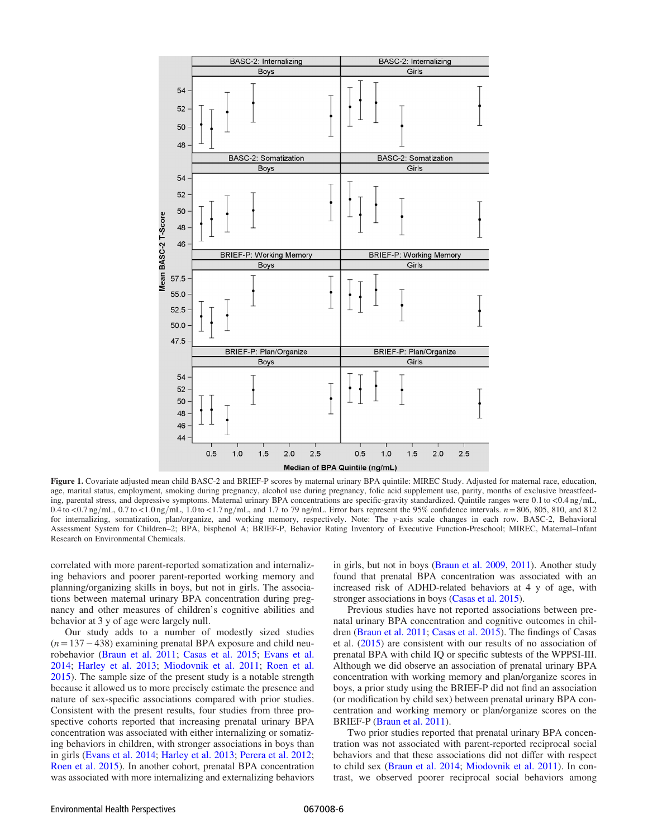<span id="page-5-0"></span>

Figure 1. Covariate adjusted mean child BASC-2 and BRIEF-P scores by maternal urinary BPA quintile: MIREC Study. Adjusted for maternal race, education, age, marital status, employment, smoking during pregnancy, alcohol use during pregnancy, folic acid supplement use, parity, months of exclusive breastfeeding, parental stress, and depressive symptoms. Maternal urinary BPA concentrations are specific-gravity standardized. Quintile ranges were 0.1 to <0.4 ng/mL,  $0.4$  to <0.7 ng/mL,  $0.7$  to <1.0 ng/mL,  $1.0$  to <1.7 ng/mL, and 1.7 to 79 ng/mL. Error bars represent the 95% confidence intervals.  $n = 806$ , 805, 810, and 812 for internalizing, somatization, plan/organize, and working memory, respectively. Note: The y-axis scale changes in each row. BASC-2, Behavioral Assessment System for Children–2; BPA, bisphenol A; BRIEF-P, Behavior Rating Inventory of Executive Function-Preschool; MIREC, Maternal–Infant Research on Environmental Chemicals.

correlated with more parent-reported somatization and internalizing behaviors and poorer parent-reported working memory and planning/organizing skills in boys, but not in girls. The associations between maternal urinary BPA concentration during pregnancy and other measures of children's cognitive abilities and behavior at 3 y of age were largely null.

Our study adds to a number of modestly sized studies  $(n= 137 – 438)$  examining prenatal BPA exposure and child neurobehavior [\(Braun et al. 2011;](#page-7-6) [Casas et al. 2015;](#page-7-7) [Evans et al.](#page-7-8) [2014](#page-7-8); [Harley et al. 2013;](#page-8-8) [Miodovnik et al. 2011](#page-8-10); [Roen et al.](#page-8-9) [2015](#page-8-9)). The sample size of the present study is a notable strength because it allowed us to more precisely estimate the presence and nature of sex-specific associations compared with prior studies. Consistent with the present results, four studies from three prospective cohorts reported that increasing prenatal urinary BPA concentration was associated with either internalizing or somatizing behaviors in children, with stronger associations in boys than in girls ([Evans et al. 2014](#page-7-8); [Harley et al. 2013;](#page-8-8) [Perera et al. 2012](#page-8-20); [Roen et al. 2015](#page-8-9)). In another cohort, prenatal BPA concentration was associated with more internalizing and externalizing behaviors in girls, but not in boys [\(Braun et al. 2009,](#page-7-17) [2011\)](#page-7-6). Another study found that prenatal BPA concentration was associated with an increased risk of ADHD-related behaviors at 4 y of age, with stronger associations in boys [\(Casas et al. 2015\)](#page-7-7).

Previous studies have not reported associations between prenatal urinary BPA concentration and cognitive outcomes in children [\(Braun et al. 2011](#page-7-6); [Casas et al. 2015](#page-7-7)). The findings of Casas et al. ([2015\)](#page-7-7) are consistent with our results of no association of prenatal BPA with child IQ or specific subtests of the WPPSI-III. Although we did observe an association of prenatal urinary BPA concentration with working memory and plan/organize scores in boys, a prior study using the BRIEF-P did not find an association (or modification by child sex) between prenatal urinary BPA concentration and working memory or plan/organize scores on the BRIEF-P ([Braun et al. 2011](#page-7-6)).

Two prior studies reported that prenatal urinary BPA concentration was not associated with parent-reported reciprocal social behaviors and that these associations did not differ with respect to child sex ([Braun et al. 2014;](#page-7-18) [Miodovnik et al. 2011](#page-8-10)). In contrast, we observed poorer reciprocal social behaviors among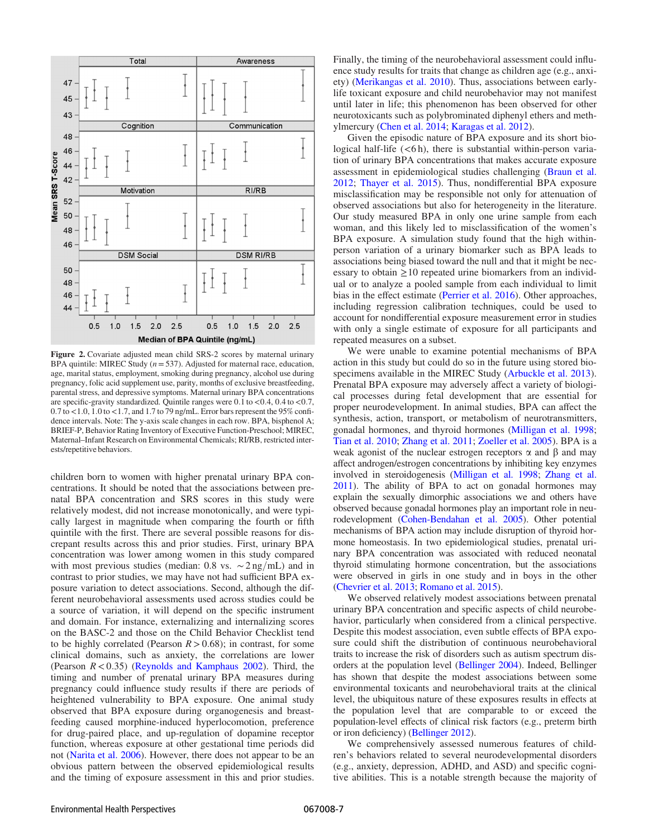<span id="page-6-0"></span>

Figure 2. Covariate adjusted mean child SRS-2 scores by maternal urinary BPA quintile: MIREC Study ( $n = 537$ ). Adjusted for maternal race, education, age, marital status, employment, smoking during pregnancy, alcohol use during pregnancy, folic acid supplement use, parity, months of exclusive breastfeeding, parental stress, and depressive symptoms. Maternal urinary BPA concentrations are specific-gravity standardized. Quintile ranges were  $0.1$  to  $<$  0.4,  $0.4$  to  $<$  0.7,  $0.7$  to  $<$  1.0, 1.0 to  $<$  1.7, and 1.7 to 79 ng/mL. Error bars represent the 95% confidence intervals. Note: The y-axis scale changes in each row. BPA, bisphenol A; BRIEF-P, Behavior Rating Inventory of Executive Function-Preschool; MIREC, Maternal–Infant Research on Environmental Chemicals; RI/RB, restricted interests/repetitive behaviors.

children born to women with higher prenatal urinary BPA concentrations. It should be noted that the associations between prenatal BPA concentration and SRS scores in this study were relatively modest, did not increase monotonically, and were typically largest in magnitude when comparing the fourth or fifth quintile with the first. There are several possible reasons for discrepant results across this and prior studies. First, urinary BPA concentration was lower among women in this study compared with most previous studies (median: 0.8 vs.  $\sim 2 \text{ ng/mL}$ ) and in contrast to prior studies, we may have not had sufficient BPA exposure variation to detect associations. Second, although the different neurobehavioral assessments used across studies could be a source of variation, it will depend on the specific instrument and domain. For instance, externalizing and internalizing scores on the BASC-2 and those on the Child Behavior Checklist tend to be highly correlated (Pearson  $R > 0.68$ ); in contrast, for some clinical domains, such as anxiety, the correlations are lower (Pearson  $R < 0.35$ ) ([Reynolds and Kamphaus 2002\)](#page-8-14). Third, the timing and number of prenatal urinary BPA measures during pregnancy could influence study results if there are periods of heightened vulnerability to BPA exposure. One animal study observed that BPA exposure during organogenesis and breastfeeding caused morphine-induced hyperlocomotion, preference for drug-paired place, and up-regulation of dopamine receptor function, whereas exposure at other gestational time periods did not [\(Narita et al. 2006](#page-8-21)). However, there does not appear to be an obvious pattern between the observed epidemiological results and the timing of exposure assessment in this and prior studies. Finally, the timing of the neurobehavioral assessment could influence study results for traits that change as children age (e.g., anxiety) [\(Merikangas et al. 2010](#page-8-22)). Thus, associations between earlylife toxicant exposure and child neurobehavior may not manifest until later in life; this phenomenon has been observed for other neurotoxicants such as polybrominated diphenyl ethers and methylmercury [\(Chen et al. 2014;](#page-7-19) [Karagas et al. 2012\)](#page-8-23).

Given the episodic nature of BPA exposure and its short biological half-life  $(<6 h$ ), there is substantial within-person variation of urinary BPA concentrations that makes accurate exposure assessment in epidemiological studies challenging [\(Braun et al.](#page-7-9) [2012](#page-7-9); [Thayer et al. 2015\)](#page-8-24). Thus, nondifferential BPA exposure misclassification may be responsible not only for attenuation of observed associations but also for heterogeneity in the literature. Our study measured BPA in only one urine sample from each woman, and this likely led to misclassification of the women's BPA exposure. A simulation study found that the high withinperson variation of a urinary biomarker such as BPA leads to associations being biased toward the null and that it might be necessary to obtain  $\geq 10$  repeated urine biomarkers from an individual or to analyze a pooled sample from each individual to limit bias in the effect estimate [\(Perrier et al. 2016\)](#page-8-25). Other approaches, including regression calibration techniques, could be used to account for nondifferential exposure measurement error in studies with only a single estimate of exposure for all participants and repeated measures on a subset.

We were unable to examine potential mechanisms of BPA action in this study but could do so in the future using stored biospecimens available in the MIREC Study ([Arbuckle et al. 2013](#page-7-10)). Prenatal BPA exposure may adversely affect a variety of biological processes during fetal development that are essential for proper neurodevelopment. In animal studies, BPA can affect the synthesis, action, transport, or metabolism of neurotransmitters, gonadal hormones, and thyroid hormones [\(Milligan et al. 1998](#page-8-26); [Tian et al. 2010;](#page-8-27) [Zhang et al. 2011;](#page-8-7) [Zoeller et al. 2005\)](#page-8-28). BPA is a weak agonist of the nuclear estrogen receptors  $\alpha$  and  $\beta$  and may affect androgen/estrogen concentrations by inhibiting key enzymes involved in steroidogenesis [\(Milligan et al. 1998](#page-8-26); [Zhang et al.](#page-8-7) [2011\)](#page-8-7). The ability of BPA to act on gonadal hormones may explain the sexually dimorphic associations we and others have observed because gonadal hormones play an important role in neurodevelopment [\(Cohen-Bendahan et al. 2005](#page-7-20)). Other potential mechanisms of BPA action may include disruption of thyroid hormone homeostasis. In two epidemiological studies, prenatal urinary BPA concentration was associated with reduced neonatal thyroid stimulating hormone concentration, but the associations were observed in girls in one study and in boys in the other [\(Chevrier et al. 2013](#page-7-21); [Romano et al. 2015](#page-8-5)).

We observed relatively modest associations between prenatal urinary BPA concentration and specific aspects of child neurobehavior, particularly when considered from a clinical perspective. Despite this modest association, even subtle effects of BPA exposure could shift the distribution of continuous neurobehavioral traits to increase the risk of disorders such as autism spectrum disorders at the population level [\(Bellinger 2004\)](#page-7-22). Indeed, Bellinger has shown that despite the modest associations between some environmental toxicants and neurobehavioral traits at the clinical level, the ubiquitous nature of these exposures results in effects at the population level that are comparable to or exceed the population-level effects of clinical risk factors (e.g., preterm birth or iron deficiency) [\(Bellinger 2012\)](#page-7-23).

We comprehensively assessed numerous features of children's behaviors related to several neurodevelopmental disorders (e.g., anxiety, depression, ADHD, and ASD) and specific cognitive abilities. This is a notable strength because the majority of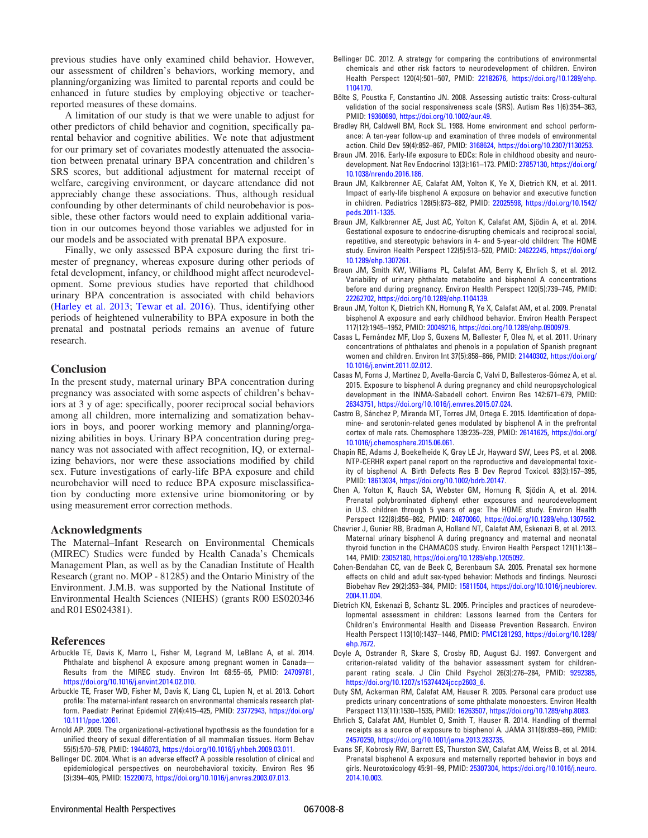previous studies have only examined child behavior. However, our assessment of children's behaviors, working memory, and planning/organizing was limited to parental reports and could be enhanced in future studies by employing objective or teacherreported measures of these domains.

A limitation of our study is that we were unable to adjust for other predictors of child behavior and cognition, specifically parental behavior and cognitive abilities. We note that adjustment for our primary set of covariates modestly attenuated the association between prenatal urinary BPA concentration and children's SRS scores, but additional adjustment for maternal receipt of welfare, caregiving environment, or daycare attendance did not appreciably change these associations. Thus, although residual confounding by other determinants of child neurobehavior is possible, these other factors would need to explain additional variation in our outcomes beyond those variables we adjusted for in our models and be associated with prenatal BPA exposure.

Finally, we only assessed BPA exposure during the first trimester of pregnancy, whereas exposure during other periods of fetal development, infancy, or childhood might affect neurodevelopment. Some previous studies have reported that childhood urinary BPA concentration is associated with child behaviors [\(Harley et al. 2013;](#page-8-8) [Tewar et al. 2016\)](#page-8-29). Thus, identifying other periods of heightened vulnerability to BPA exposure in both the prenatal and postnatal periods remains an avenue of future research.

# **Conclusion**

In the present study, maternal urinary BPA concentration during pregnancy was associated with some aspects of children's behaviors at 3 y of age: specifically, poorer reciprocal social behaviors among all children, more internalizing and somatization behaviors in boys, and poorer working memory and planning/organizing abilities in boys. Urinary BPA concentration during pregnancy was not associated with affect recognition, IQ, or externalizing behaviors, nor were these associations modified by child sex. Future investigations of early-life BPA exposure and child neurobehavior will need to reduce BPA exposure misclassification by conducting more extensive urine biomonitoring or by using measurement error correction methods.

### Acknowledgments

The Maternal–Infant Research on Environmental Chemicals (MIREC) Studies were funded by Health Canada's Chemicals Management Plan, as well as by the Canadian Institute of Health Research (grant no. MOP - 81285) and the Ontario Ministry of the Environment. J.M.B. was supported by the National Institute of Environmental Health Sciences (NIEHS) (grants R00 ES020346 and R01 ES024381).

# References

- <span id="page-7-10"></span>Arbuckle TE, Davis K, Marro L, Fisher M, Legrand M, LeBlanc A, et al. 2014. Phthalate and bisphenol A exposure among pregnant women in Canada— Results from the MIREC study. Environ Int 68:55–65, PMID: [24709781](https://www.ncbi.nlm.nih.gov/pubmed/24709781), [https://doi.org/10.1016/j.envint.2014.02.010.](https://doi.org/10.1016/j.envint.2014.02.010)
- <span id="page-7-11"></span>Arbuckle TE, Fraser WD, Fisher M, Davis K, Liang CL, Lupien N, et al. 2013. Cohort profile: The maternal-infant research on environmental chemicals research platform. Paediatr Perinat Epidemiol 27(4):415–425, PMID: [23772943](https://www.ncbi.nlm.nih.gov/pubmed/23772943), [https://doi.org/](https://doi.org/10.1111/ppe.12061) [10.1111/ppe.12061](https://doi.org/10.1111/ppe.12061).
- <span id="page-7-5"></span>Arnold AP. 2009. The organizational-activational hypothesis as the foundation for a unified theory of sexual differentiation of all mammalian tissues. Horm Behav 55(5):570–578, PMID: [19446073](https://www.ncbi.nlm.nih.gov/pubmed/19446073), <https://doi.org/10.1016/j.yhbeh.2009.03.011>.
- <span id="page-7-22"></span>Bellinger DC. 2004. What is an adverse effect? A possible resolution of clinical and epidemiological perspectives on neurobehavioral toxicity. Environ Res 95 (3):394–405, PMID: [15220073](https://www.ncbi.nlm.nih.gov/pubmed/15220073), [https://doi.org/10.1016/j.envres.2003.07.013.](https://doi.org/10.1016/j.envres.2003.07.013)
- <span id="page-7-23"></span>Bellinger DC. 2012. A strategy for comparing the contributions of environmental chemicals and other risk factors to neurodevelopment of children. Environ Health Perspect 120(4):501–507, PMID: [22182676](https://www.ncbi.nlm.nih.gov/pubmed/22182676), [https://doi.org/10.1289/ehp.](https://doi.org/10.1289/ehp.1104170) [1104170](https://doi.org/10.1289/ehp.1104170).
- <span id="page-7-15"></span>Bölte S, Poustka F, Constantino JN. 2008. Assessing autistic traits: Cross-cultural validation of the social responsiveness scale (SRS). Autism Res 1(6):354–363, PMID: [19360690](https://www.ncbi.nlm.nih.gov/pubmed/19360690), <https://doi.org/10.1002/aur.49>.
- <span id="page-7-16"></span>Bradley RH, Caldwell BM, Rock SL. 1988. Home environment and school performance: A ten-year follow-up and examination of three models of environmental action. Child Dev 59(4):852–867, PMID: [3168624,](https://www.ncbi.nlm.nih.gov/pubmed/3168624) <https://doi.org/10.2307/1130253>.
- <span id="page-7-17"></span>Braun JM. 2016. Early-life exposure to EDCs: Role in childhood obesity and neurodevelopment. Nat Rev Endocrinol 13(3):161–173. PMID: [27857130](https://www.ncbi.nlm.nih.gov/pubmed/27857130), [https://doi.org/](https://doi.org/10.1038/nrendo.2016.186) [10.1038/nrendo.2016.186](https://doi.org/10.1038/nrendo.2016.186).
- <span id="page-7-6"></span>Braun JM, Kalkbrenner AE, Calafat AM, Yolton K, Ye X, Dietrich KN, et al. 2011. Impact of early-life bisphenol A exposure on behavior and executive function in children. Pediatrics 128(5):873–882, PMID: [22025598](https://www.ncbi.nlm.nih.gov/pubmed/22025598), [https://doi.org/10.1542/](https://doi.org/10.1542/peds.2011-1335) [peds.2011-1335](https://doi.org/10.1542/peds.2011-1335).
- <span id="page-7-9"></span>Braun JM, Kalkbrenner AE, Just AC, Yolton K, Calafat AM, Sjödin A, et al. 2014. Gestational exposure to endocrine-disrupting chemicals and reciprocal social, repetitive, and stereotypic behaviors in 4- and 5-year-old children: The HOME study. Environ Health Perspect 122(5):513–520, PMID: [24622245,](https://www.ncbi.nlm.nih.gov/pubmed/24622245) [https://doi.org/](https://doi.org/10.1289/ehp.1307261) [10.1289/ehp.1307261.](https://doi.org/10.1289/ehp.1307261)
- <span id="page-7-18"></span>Braun JM, Smith KW, Williams PL, Calafat AM, Berry K, Ehrlich S, et al. 2012. Variability of urinary phthalate metabolite and bisphenol A concentrations before and during pregnancy. Environ Health Perspect 120(5):739–745, PMID: [22262702,](https://www.ncbi.nlm.nih.gov/pubmed/22262702) <https://doi.org/10.1289/ehp.1104139>.
- <span id="page-7-3"></span>Braun JM, Yolton K, Dietrich KN, Hornung R, Ye X, Calafat AM, et al. 2009. Prenatal bisphenol A exposure and early childhood behavior. Environ Health Perspect 117(12):1945–1952, PMID: [20049216](https://www.ncbi.nlm.nih.gov/pubmed/20049216), <https://doi.org/10.1289/ehp.0900979>.
- <span id="page-7-2"></span>Casas L, Fernández MF, Llop S, Guxens M, Ballester F, Olea N, et al. 2011. Urinary concentrations of phthalates and phenols in a population of Spanish pregnant women and children. Environ Int 37(5):858–866, PMID: [21440302,](https://www.ncbi.nlm.nih.gov/pubmed/21440302) [https://doi.org/](https://doi.org/10.1016/j.envint.2011.02.012) [10.1016/j.envint.2011.02.012.](https://doi.org/10.1016/j.envint.2011.02.012)
- <span id="page-7-7"></span>Casas M, Forns J, Martínez D, Avella-García C, Valvi D, Ballesteros-Gómez A, et al. 2015. Exposure to bisphenol A during pregnancy and child neuropsychological development in the INMA-Sabadell cohort. Environ Res 142:671–679, PMID: [26343751,](https://www.ncbi.nlm.nih.gov/pubmed/26343751) [https://doi.org/10.1016/j.envres.2015.07.024.](https://doi.org/10.1016/j.envres.2015.07.024)
- <span id="page-7-4"></span>Castro B, Sánchez P, Miranda MT, Torres JM, Ortega E. 2015. Identification of dopamine- and serotonin-related genes modulated by bisphenol A in the prefrontal cortex of male rats. Chemosphere 139:235–239, PMID: [26141625](https://www.ncbi.nlm.nih.gov/pubmed/26141625), [https://doi.org/](https://doi.org/10.1016/j.chemosphere.2015.06.061) [10.1016/j.chemosphere.2015.06.061.](https://doi.org/10.1016/j.chemosphere.2015.06.061)
- <span id="page-7-0"></span>Chapin RE, Adams J, Boekelheide K, Gray LE Jr, Hayward SW, Lees PS, et al. 2008. NTP-CERHR expert panel report on the reproductive and developmental toxicity of bisphenol A. Birth Defects Res B Dev Reprod Toxicol. 83(3):157–395, PMID: [18613034](https://www.ncbi.nlm.nih.gov/pubmed/18613034), [https://doi.org/10.1002/bdrb.20147.](https://doi.org/10.1002/bdrb.20147)
- <span id="page-7-19"></span>Chen A, Yolton K, Rauch SA, Webster GM, Hornung R, Sjödin A, et al. 2014. Prenatal polybrominated diphenyl ether exposures and neurodevelopment in U.S. children through 5 years of age: The HOME study. Environ Health Perspect 122(8):856–862, PMID: [24870060](https://www.ncbi.nlm.nih.gov/pubmed/24870060), [https://doi.org/10.1289/ehp.1307562.](https://doi.org/10.1289/ehp.1307562)
- <span id="page-7-21"></span>Chevrier J, Gunier RB, Bradman A, Holland NT, Calafat AM, Eskenazi B, et al. 2013. Maternal urinary bisphenol A during pregnancy and maternal and neonatal thyroid function in the CHAMACOS study. Environ Health Perspect 121(1):138– 144, PMID: [23052180,](https://www.ncbi.nlm.nih.gov/pubmed/23052180) <https://doi.org/10.1289/ehp.1205092>.
- <span id="page-7-20"></span>Cohen-Bendahan CC, van de Beek C, Berenbaum SA. 2005. Prenatal sex hormone effects on child and adult sex-typed behavior: Methods and findings. Neurosci Biobehav Rev 29(2):353–384, PMID: [15811504](https://www.ncbi.nlm.nih.gov/pubmed/15811504), [https://doi.org/10.1016/j.neubiorev.](https://doi.org/10.1016/j.neubiorev.2004.11.004) [2004.11.004.](https://doi.org/10.1016/j.neubiorev.2004.11.004)
- <span id="page-7-13"></span>Dietrich KN, Eskenazi B, Schantz SL. 2005. Principles and practices of neurodevelopmental assessment in children: Lessons learned from the Centers for Children's Environmental Health and Disease Prevention Research. Environ Health Perspect 113(10):1437–1446, PMID: [PMC1281293,](https://www.ncbi.nlm.nih.gov/pubmed/PMC1281293) [https://doi.org/10.1289/](https://doi.org/10.1289/ehp.7672) [ehp.7672](https://doi.org/10.1289/ehp.7672).
- <span id="page-7-14"></span>Doyle A, Ostrander R, Skare S, Crosby RD, August GJ. 1997. Convergent and criterion-related validity of the behavior assessment system for children-parent rating scale. J Clin Child Psychol 26(3):276-284, PMID: [9292385](https://www.ncbi.nlm.nih.gov/pubmed/9292385), [https://doi.org/10.1207/s15374424jccp2603\\_6](https://doi.org/10.1207/s15374424jccp2603_6).
- <span id="page-7-12"></span>Duty SM, Ackerman RM, Calafat AM, Hauser R. 2005. Personal care product use predicts urinary concentrations of some phthalate monoesters. Environ Health Perspect 113(11):1530–1535, PMID: [16263507](https://www.ncbi.nlm.nih.gov/pubmed/16263507), [https://doi.org/10.1289/ehp.8083.](https://doi.org/10.1289/ehp.8083)
- <span id="page-7-1"></span>Ehrlich S, Calafat AM, Humblet O, Smith T, Hauser R. 2014. Handling of thermal receipts as a source of exposure to bisphenol A. JAMA 311(8):859–860, PMID: [24570250,](https://www.ncbi.nlm.nih.gov/pubmed/24570250) <https://doi.org/10.1001/jama.2013.283735>.
- <span id="page-7-8"></span>Evans SF, Kobrosly RW, Barrett ES, Thurston SW, Calafat AM, Weiss B, et al. 2014. Prenatal bisphenol A exposure and maternally reported behavior in boys and girls. Neurotoxicology 45:91–99, PMID: [25307304,](https://www.ncbi.nlm.nih.gov/pubmed/25307304) [https://doi.org/10.1016/j.neuro.](https://doi.org/10.1016/j.neuro.2014.10.003) [2014.10.003](https://doi.org/10.1016/j.neuro.2014.10.003).